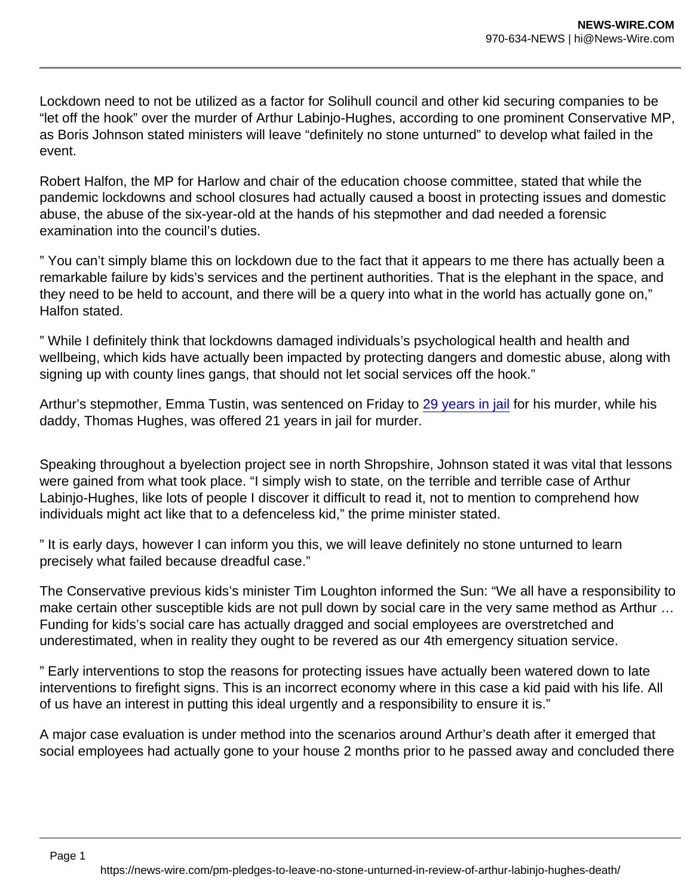Lockdown need to not be utilized as a factor for Solihull council and other kid securing companies to be "let off the hook" over the murder of Arthur Labinjo-Hughes, according to one prominent Conservative MP, as Boris Johnson stated ministers will leave "definitely no stone unturned" to develop what failed in the event.

Robert Halfon, the MP for Harlow and chair of the education choose committee, stated that while the pandemic lockdowns and school closures had actually caused a boost in protecting issues and domestic abuse, the abuse of the six-year-old at the hands of his stepmother and dad needed a forensic examination into the council's duties.

" You can't simply blame this on lockdown due to the fact that it appears to me there has actually been a remarkable failure by kids's services and the pertinent authorities. That is the elephant in the space, and they need to be held to account, and there will be a query into what in the world has actually gone on," Halfon stated.

" While I definitely think that lockdowns damaged individuals's psychological health and health and wellbeing, which kids have actually been impacted by protecting dangers and domestic abuse, along with signing up with county lines gangs, that should not let social services off the hook."

Arthur's stepmother, Emma Tustin, was sentenced on Friday to [29 years in jail](https://www.theguardian.com/uk-news/2021/dec/03/arthur-labinjo-hughes-woman-jailed-murder-stepson) for his murder, while his daddy, Thomas Hughes, was offered 21 years in jail for murder.

Speaking throughout a byelection project see in north Shropshire, Johnson stated it was vital that lessons were gained from what took place. "I simply wish to state, on the terrible and terrible case of Arthur Labinjo-Hughes, like lots of people I discover it difficult to read it, not to mention to comprehend how individuals might act like that to a defenceless kid," the prime minister stated.

" It is early days, however I can inform you this, we will leave definitely no stone unturned to learn precisely what failed because dreadful case."

The Conservative previous kids's minister Tim Loughton informed the Sun: "We all have a responsibility to make certain other susceptible kids are not pull down by social care in the very same method as Arthur … Funding for kids's social care has actually dragged and social employees are overstretched and underestimated, when in reality they ought to be revered as our 4th emergency situation service.

" Early interventions to stop the reasons for protecting issues have actually been watered down to late interventions to firefight signs. This is an incorrect economy where in this case a kid paid with his life. All of us have an interest in putting this ideal urgently and a responsibility to ensure it is."

A major case evaluation is under method into the scenarios around Arthur's death after it emerged that social employees had actually gone to your house 2 months prior to he passed away and concluded there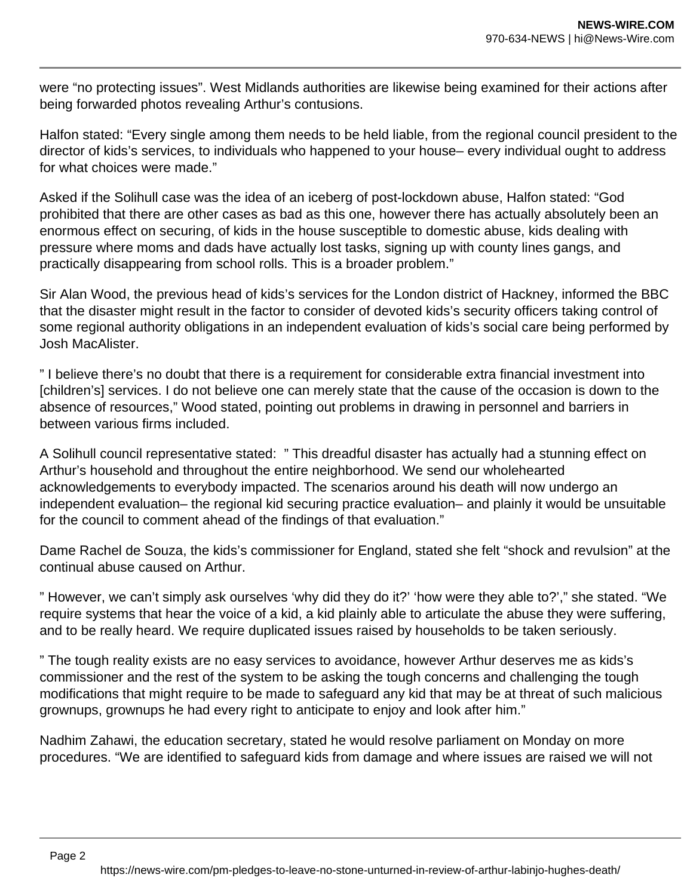were "no protecting issues". West Midlands authorities are likewise being examined for their actions after being forwarded photos revealing Arthur's contusions.

Halfon stated: "Every single among them needs to be held liable, from the regional council president to the director of kids's services, to individuals who happened to your house– every individual ought to address for what choices were made."

Asked if the Solihull case was the idea of an iceberg of post-lockdown abuse, Halfon stated: "God prohibited that there are other cases as bad as this one, however there has actually absolutely been an enormous effect on securing, of kids in the house susceptible to domestic abuse, kids dealing with pressure where moms and dads have actually lost tasks, signing up with county lines gangs, and practically disappearing from school rolls. This is a broader problem."

Sir Alan Wood, the previous head of kids's services for the London district of Hackney, informed the BBC that the disaster might result in the factor to consider of devoted kids's security officers taking control of some regional authority obligations in an independent evaluation of kids's social care being performed by Josh MacAlister.

" I believe there's no doubt that there is a requirement for considerable extra financial investment into [children's] services. I do not believe one can merely state that the cause of the occasion is down to the absence of resources," Wood stated, pointing out problems in drawing in personnel and barriers in between various firms included.

A Solihull council representative stated: " This dreadful disaster has actually had a stunning effect on Arthur's household and throughout the entire neighborhood. We send our wholehearted acknowledgements to everybody impacted. The scenarios around his death will now undergo an independent evaluation– the regional kid securing practice evaluation– and plainly it would be unsuitable for the council to comment ahead of the findings of that evaluation."

Dame Rachel de Souza, the kids's commissioner for England, stated she felt "shock and revulsion" at the continual abuse caused on Arthur.

" However, we can't simply ask ourselves 'why did they do it?' 'how were they able to?'," she stated. "We require systems that hear the voice of a kid, a kid plainly able to articulate the abuse they were suffering, and to be really heard. We require duplicated issues raised by households to be taken seriously.

" The tough reality exists are no easy services to avoidance, however Arthur deserves me as kids's commissioner and the rest of the system to be asking the tough concerns and challenging the tough modifications that might require to be made to safeguard any kid that may be at threat of such malicious grownups, grownups he had every right to anticipate to enjoy and look after him."

Nadhim Zahawi, the education secretary, stated he would resolve parliament on Monday on more procedures. "We are identified to safeguard kids from damage and where issues are raised we will not

Page 2